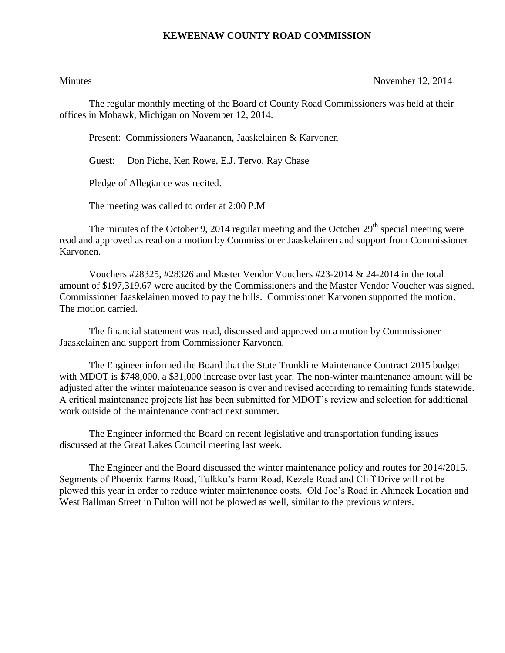## **KEWEENAW COUNTY ROAD COMMISSION**

Minutes November 12, 2014

The regular monthly meeting of the Board of County Road Commissioners was held at their offices in Mohawk, Michigan on November 12, 2014.

Present: Commissioners Waananen, Jaaskelainen & Karvonen

Guest: Don Piche, Ken Rowe, E.J. Tervo, Ray Chase

Pledge of Allegiance was recited.

The meeting was called to order at 2:00 P.M

The minutes of the October 9, 2014 regular meeting and the October  $29<sup>th</sup>$  special meeting were read and approved as read on a motion by Commissioner Jaaskelainen and support from Commissioner Karvonen.

Vouchers #28325, #28326 and Master Vendor Vouchers #23-2014 & 24-2014 in the total amount of \$197,319.67 were audited by the Commissioners and the Master Vendor Voucher was signed. Commissioner Jaaskelainen moved to pay the bills. Commissioner Karvonen supported the motion. The motion carried.

The financial statement was read, discussed and approved on a motion by Commissioner Jaaskelainen and support from Commissioner Karvonen.

The Engineer informed the Board that the State Trunkline Maintenance Contract 2015 budget with MDOT is \$748,000, a \$31,000 increase over last year. The non-winter maintenance amount will be adjusted after the winter maintenance season is over and revised according to remaining funds statewide. A critical maintenance projects list has been submitted for MDOT's review and selection for additional work outside of the maintenance contract next summer.

The Engineer informed the Board on recent legislative and transportation funding issues discussed at the Great Lakes Council meeting last week.

The Engineer and the Board discussed the winter maintenance policy and routes for 2014/2015. Segments of Phoenix Farms Road, Tulkku's Farm Road, Kezele Road and Cliff Drive will not be plowed this year in order to reduce winter maintenance costs. Old Joe's Road in Ahmeek Location and West Ballman Street in Fulton will not be plowed as well, similar to the previous winters.